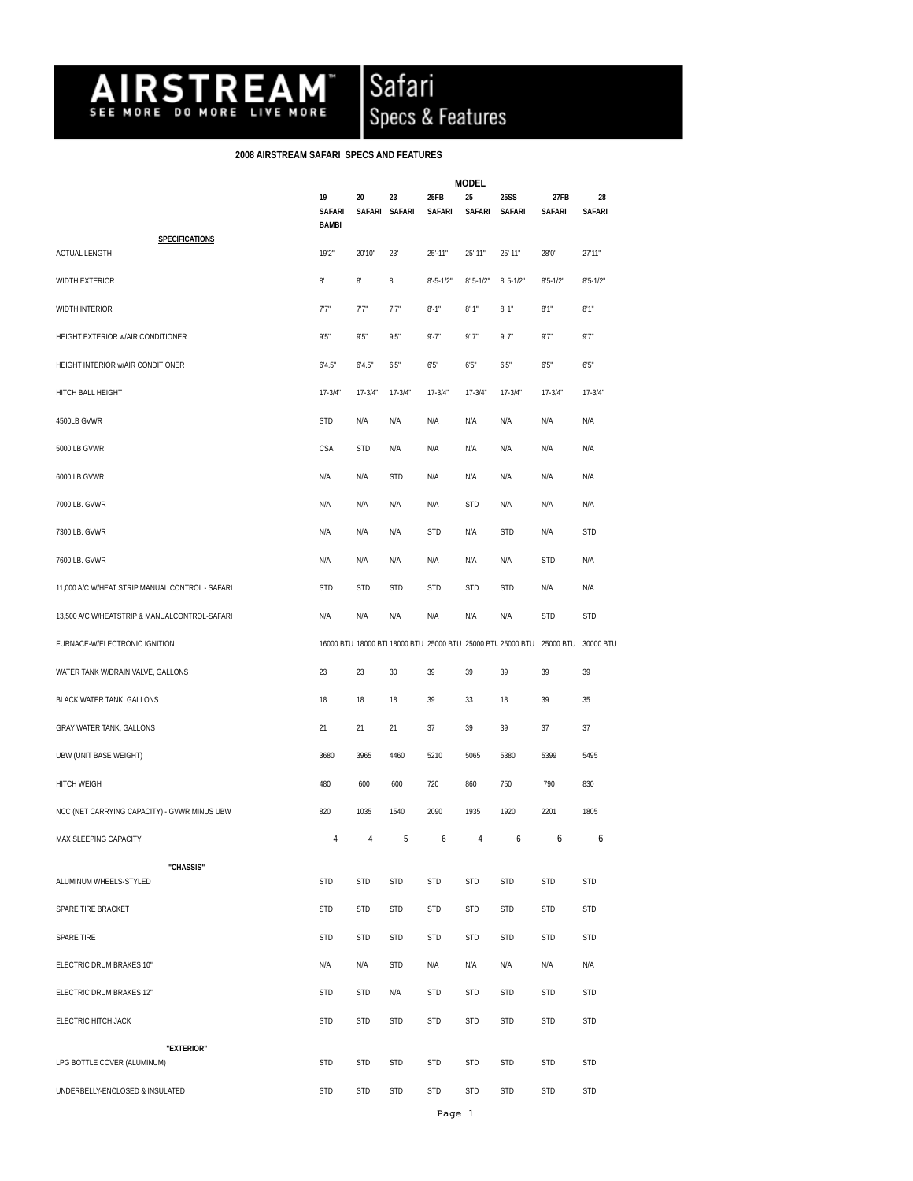

Safari<br>Specs & Features

## **2008 AIRSTREAM SAFARI SPECS AND FEATURES**

|                                                 |                                     | <b>MODEL</b>        |              |                       |              |                       |                                                                       |                     |
|-------------------------------------------------|-------------------------------------|---------------------|--------------|-----------------------|--------------|-----------------------|-----------------------------------------------------------------------|---------------------|
|                                                 | 19<br><b>SAFARI</b><br><b>BAMBI</b> | 20<br><b>SAFARI</b> | 23<br>SAFARI | 25FB<br><b>SAFARI</b> | 25<br>SAFARI | <b>25SS</b><br>SAFARI | 27FB<br><b>SAFARI</b>                                                 | 28<br><b>SAFARI</b> |
| <b>SPECIFICATIONS</b><br><b>ACTUAL LENGTH</b>   | 19'2"                               | 20'10"              | 23'          | $25' - 11"$           | 25' 11"      | 25' 11"               | 28'0"                                                                 | 27'11"              |
| <b>WIDTH EXTERIOR</b>                           | $8^\circ$                           | $8^\circ$           | $8^\circ$    | $8' - 5 - 1/2"$       | $8'5-1/2"$   | $8'5 - 1/2"$          | $8'5 - 1/2"$                                                          | $8'5 - 1/2"$        |
| <b>WIDTH INTERIOR</b>                           | 7.7"                                | 7'7''               | 77"          | $8' - 1''$            | 8'1"         | 8'1"                  | 8'1''                                                                 | 8'1"                |
| HEIGHT EXTERIOR w/AIR CONDITIONER               | 9'5"                                | 9'5''               | 9'5''        | $9' - 7''$            | 9'7"         | 9'7"                  | 9'7''                                                                 | 9'7"                |
| HEIGHT INTERIOR w/AIR CONDITIONER               | 6'4.5"                              | 6'4.5"              | 6'5''        | 6'5''                 | 6'5"         | 6'5"                  | 6'5''                                                                 | 6'5"                |
| HITCH BALL HEIGHT                               | $17-3/4"$                           | $17 - 3/4"$         | $17 - 3/4"$  | $17 - 3/4"$           | $17 - 3/4"$  | $17-3/4"$             | $17 - 3/4"$                                                           | $17 - 3/4"$         |
| 4500LB GVWR                                     | <b>STD</b>                          | N/A                 | N/A          | N/A                   | N/A          | N/A                   | N/A                                                                   | N/A                 |
| 5000 LB GVWR                                    | CSA                                 | <b>STD</b>          | N/A          | N/A                   | N/A          | N/A                   | N/A                                                                   | N/A                 |
| 6000 LB GVWR                                    | N/A                                 | N/A                 | <b>STD</b>   | N/A                   | N/A          | N/A                   | N/A                                                                   | N/A                 |
| 7000 LB. GVWR                                   | N/A                                 | N/A                 | N/A          | N/A                   | <b>STD</b>   | N/A                   | N/A                                                                   | N/A                 |
| 7300 LB. GVWR                                   | N/A                                 | N/A                 | N/A          | <b>STD</b>            | N/A          | <b>STD</b>            | N/A                                                                   | <b>STD</b>          |
| 7600 LB. GVWR                                   | N/A                                 | N/A                 | N/A          | N/A                   | N/A          | N/A                   | <b>STD</b>                                                            | N/A                 |
| 11,000 A/C W/HEAT STRIP MANUAL CONTROL - SAFARI | <b>STD</b>                          | <b>STD</b>          | <b>STD</b>   | <b>STD</b>            | <b>STD</b>   | <b>STD</b>            | N/A                                                                   | N/A                 |
| 13,500 A/C W/HEATSTRIP & MANUALCONTROL-SAFARI   | N/A                                 | N/A                 | N/A          | N/A                   | N/A          | N/A                   | <b>STD</b>                                                            | <b>STD</b>          |
| FURNACE-W/ELECTRONIC IGNITION                   |                                     |                     |              |                       |              |                       | 16000 BTU 18000 BTI 18000 BTU 25000 BTU 25000 BTU 25000 BTU 25000 BTU | 30000 BTU           |
| WATER TANK W/DRAIN VALVE, GALLONS               | 23                                  | 23                  | 30           | 39                    | 39           | 39                    | 39                                                                    | 39                  |
| <b>BLACK WATER TANK, GALLONS</b>                | 18                                  | 18                  | 18           | 39                    | 33           | 18                    | 39                                                                    | 35                  |
| GRAY WATER TANK, GALLONS                        | 21                                  | 21                  | 21           | 37                    | 39           | 39                    | 37                                                                    | 37                  |
| UBW (UNIT BASE WEIGHT)                          | 3680                                | 3965                | 4460         | 5210                  | 5065         | 5380                  | 5399                                                                  | 5495                |
| <b>HITCH WEIGH</b>                              | 480                                 | 600                 | 600          | 720                   | 860          | 750                   | 790                                                                   | 830                 |
| NCC (NET CARRYING CAPACITY) - GVWR MINUS UBW    | 820                                 | 1035                | 1540         | 2090                  | 1935         | 1920                  | 2201                                                                  | 1805                |
| MAX SLEEPING CAPACITY                           | 4                                   | 4                   | 5            | 6                     | 4            | 6                     | 6                                                                     | 6                   |
| "CHASSIS"<br>ALUMINUM WHEELS-STYLED             | <b>STD</b>                          | <b>STD</b>          | STD          | <b>STD</b>            | <b>STD</b>   | <b>STD</b>            | STD                                                                   | <b>STD</b>          |
| SPARE TIRE BRACKET                              | <b>STD</b>                          | <b>STD</b>          | STD          | <b>STD</b>            | STD          | <b>STD</b>            | <b>STD</b>                                                            | <b>STD</b>          |
| SPARE TIRE                                      | <b>STD</b>                          | <b>STD</b>          | <b>STD</b>   | <b>STD</b>            | <b>STD</b>   | <b>STD</b>            | <b>STD</b>                                                            | <b>STD</b>          |
| ELECTRIC DRUM BRAKES 10"                        | N/A                                 | N/A                 | <b>STD</b>   | N/A                   | N/A          | N/A                   | N/A                                                                   | N/A                 |
| ELECTRIC DRUM BRAKES 12"                        | <b>STD</b>                          | <b>STD</b>          | N/A          | <b>STD</b>            | <b>STD</b>   | <b>STD</b>            | <b>STD</b>                                                            | <b>STD</b>          |
| ELECTRIC HITCH JACK                             | <b>STD</b>                          | <b>STD</b>          | <b>STD</b>   | <b>STD</b>            | <b>STD</b>   | <b>STD</b>            | <b>STD</b>                                                            | <b>STD</b>          |
| "EXTERIOR"                                      |                                     |                     |              |                       |              |                       |                                                                       |                     |
| LPG BOTTLE COVER (ALUMINUM)                     | <b>STD</b>                          | <b>STD</b>          | STD          | <b>STD</b>            | <b>STD</b>   | <b>STD</b>            | STD                                                                   | <b>STD</b>          |
| UNDERBELLY-ENCLOSED & INSULATED                 | <b>STD</b>                          | <b>STD</b>          | <b>STD</b>   | <b>STD</b>            | STD          | <b>STD</b>            | <b>STD</b>                                                            | <b>STD</b>          |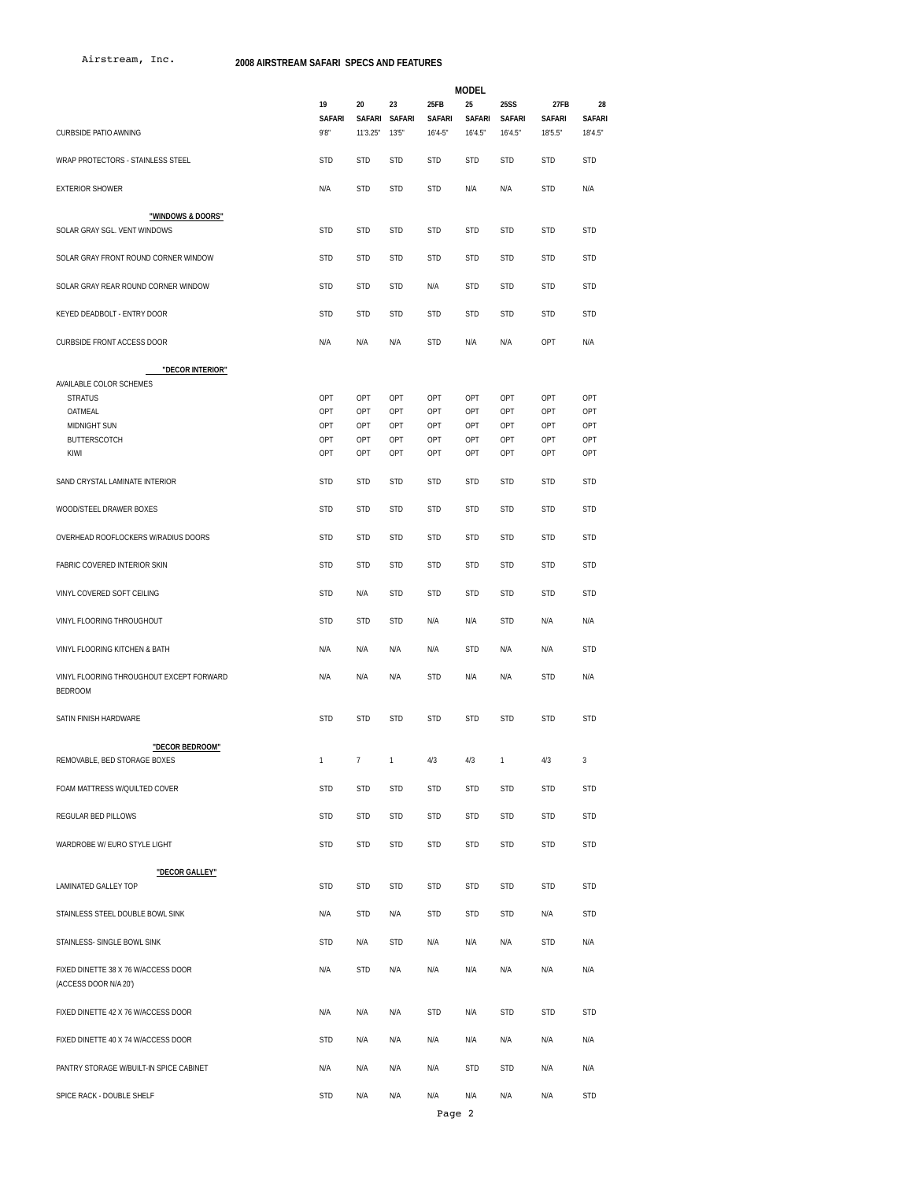Airstream, Inc.

**2008 AIRSTREAM SAFARI SPECS AND FEATURES**

|                                                              |                             |                          | <b>MODEL</b>                 |                                    |                         |                                         |                                  |                                |  |  |
|--------------------------------------------------------------|-----------------------------|--------------------------|------------------------------|------------------------------------|-------------------------|-----------------------------------------|----------------------------------|--------------------------------|--|--|
| <b>CURBSIDE PATIO AWNING</b>                                 | 19<br><b>SAFARI</b><br>9'8" | 20<br>SAFARI<br>11'3.25" | 23<br><b>SAFARI</b><br>13'5" | 25FB<br><b>SAFARI</b><br>$16'4-5"$ | 25<br>SAFARI<br>16'4.5" | <b>25SS</b><br><b>SAFARI</b><br>16'4.5" | 27FB<br><b>SAFARI</b><br>18'5.5" | 28<br><b>SAFARI</b><br>18'4.5" |  |  |
|                                                              | <b>STD</b>                  | <b>STD</b>               |                              | <b>STD</b>                         |                         | <b>STD</b>                              | <b>STD</b>                       | <b>STD</b>                     |  |  |
| WRAP PROTECTORS - STAINLESS STEEL                            |                             |                          | <b>STD</b>                   |                                    | <b>STD</b>              |                                         |                                  |                                |  |  |
| <b>EXTERIOR SHOWER</b>                                       | N/A                         | <b>STD</b>               | <b>STD</b>                   | <b>STD</b>                         | N/A                     | N/A                                     | <b>STD</b>                       | N/A                            |  |  |
| "WINDOWS & DOORS"<br>SOLAR GRAY SGL. VENT WINDOWS            | <b>STD</b>                  | <b>STD</b>               | <b>STD</b>                   | <b>STD</b>                         | <b>STD</b>              | <b>STD</b>                              | <b>STD</b>                       | <b>STD</b>                     |  |  |
| SOLAR GRAY FRONT ROUND CORNER WINDOW                         | <b>STD</b>                  | <b>STD</b>               | <b>STD</b>                   | <b>STD</b>                         | STD                     | <b>STD</b>                              | <b>STD</b>                       | <b>STD</b>                     |  |  |
| SOLAR GRAY REAR ROUND CORNER WINDOW                          | <b>STD</b>                  | <b>STD</b>               | <b>STD</b>                   | N/A                                | <b>STD</b>              | <b>STD</b>                              | <b>STD</b>                       | <b>STD</b>                     |  |  |
| KEYED DEADBOLT - ENTRY DOOR                                  | <b>STD</b>                  | <b>STD</b>               | STD                          | <b>STD</b>                         | <b>STD</b>              | <b>STD</b>                              | <b>STD</b>                       | <b>STD</b>                     |  |  |
| <b>CURBSIDE FRONT ACCESS DOOR</b>                            | N/A                         | N/A                      | N/A                          | <b>STD</b>                         | N/A                     | N/A                                     | OPT                              | N/A                            |  |  |
| "DECOR INTERIOR"                                             |                             |                          |                              |                                    |                         |                                         |                                  |                                |  |  |
| AVAILABLE COLOR SCHEMES                                      |                             |                          |                              |                                    |                         |                                         |                                  |                                |  |  |
| <b>STRATUS</b>                                               | OPT                         | OPT                      | OPT                          | OPT                                | OPT                     | OPT                                     | OPT                              | OPT                            |  |  |
| OATMEAL                                                      | OPT                         | OPT                      | OPT                          | OPT                                | OPT                     | OPT                                     | OPT                              | OPT                            |  |  |
| <b>MIDNIGHT SUN</b>                                          | OPT                         | OPT                      | OPT                          | OPT                                | OPT                     | OPT                                     | OPT                              | OPT                            |  |  |
| <b>BUTTERSCOTCH</b>                                          | OPT                         | OPT                      | OPT                          | OPT                                | OPT                     | OPT                                     | OPT                              | OPT                            |  |  |
| KIWI                                                         | OPT                         | OPT                      | OPT                          | OPT                                | OPT                     | OPT                                     | OPT                              | OPT                            |  |  |
| SAND CRYSTAL LAMINATE INTERIOR                               | <b>STD</b>                  | <b>STD</b>               | <b>STD</b>                   | <b>STD</b>                         | <b>STD</b>              | <b>STD</b>                              | <b>STD</b>                       | <b>STD</b>                     |  |  |
| WOOD/STEEL DRAWER BOXES                                      | <b>STD</b>                  | <b>STD</b>               | <b>STD</b>                   | <b>STD</b>                         | <b>STD</b>              | <b>STD</b>                              | <b>STD</b>                       | <b>STD</b>                     |  |  |
| OVERHEAD ROOFLOCKERS W/RADIUS DOORS                          | <b>STD</b>                  | <b>STD</b>               | <b>STD</b>                   | <b>STD</b>                         | <b>STD</b>              | <b>STD</b>                              | <b>STD</b>                       | <b>STD</b>                     |  |  |
| FABRIC COVERED INTERIOR SKIN                                 | <b>STD</b>                  | <b>STD</b>               | <b>STD</b>                   | <b>STD</b>                         | <b>STD</b>              | <b>STD</b>                              | <b>STD</b>                       | <b>STD</b>                     |  |  |
| VINYL COVERED SOFT CEILING                                   | <b>STD</b>                  | N/A                      | <b>STD</b>                   | <b>STD</b>                         | <b>STD</b>              | <b>STD</b>                              | <b>STD</b>                       | <b>STD</b>                     |  |  |
| VINYL FLOORING THROUGHOUT                                    | <b>STD</b>                  | <b>STD</b>               | <b>STD</b>                   | N/A                                | N/A                     | <b>STD</b>                              | N/A                              | N/A                            |  |  |
| VINYL FLOORING KITCHEN & BATH                                | N/A                         | N/A                      | N/A                          | N/A                                | <b>STD</b>              | N/A                                     | N/A                              | <b>STD</b>                     |  |  |
| VINYL FLOORING THROUGHOUT EXCEPT FORWARD<br><b>BEDROOM</b>   | N/A                         | N/A                      | N/A                          | <b>STD</b>                         | N/A                     | N/A                                     | <b>STD</b>                       | N/A                            |  |  |
| SATIN FINISH HARDWARE                                        | <b>STD</b>                  | <b>STD</b>               | <b>STD</b>                   | <b>STD</b>                         | <b>STD</b>              | <b>STD</b>                              | <b>STD</b>                       | <b>STD</b>                     |  |  |
| "DECOR BEDROOM"                                              |                             |                          |                              |                                    |                         |                                         |                                  |                                |  |  |
| REMOVABLE, BED STORAGE BOXES                                 | 1                           | $\overline{7}$           | $\mathbf{1}$                 | 4/3                                | 4/3                     | 1                                       | 4/3                              | $\mathbf{3}$                   |  |  |
| FOAM MATTRESS W/QUILTED COVER                                | <b>STD</b>                  | <b>STD</b>               | <b>STD</b>                   | <b>STD</b>                         | <b>STD</b>              | <b>STD</b>                              | <b>STD</b>                       | <b>STD</b>                     |  |  |
| REGULAR BED PILLOWS                                          | <b>STD</b>                  | <b>STD</b>               | STD                          | <b>STD</b>                         | STD                     | <b>STD</b>                              | <b>STD</b>                       | <b>STD</b>                     |  |  |
| WARDROBE W/ EURO STYLE LIGHT                                 | <b>STD</b>                  | <b>STD</b>               | STD                          | <b>STD</b>                         | STD                     | <b>STD</b>                              | <b>STD</b>                       | <b>STD</b>                     |  |  |
|                                                              |                             |                          |                              |                                    |                         |                                         |                                  |                                |  |  |
| "DECOR GALLEY"<br>LAMINATED GALLEY TOP                       | <b>STD</b>                  | <b>STD</b>               | STD                          | <b>STD</b>                         | STD                     | <b>STD</b>                              | <b>STD</b>                       | <b>STD</b>                     |  |  |
| STAINLESS STEEL DOUBLE BOWL SINK                             | N/A                         | <b>STD</b>               | N/A                          | <b>STD</b>                         | STD                     | <b>STD</b>                              | N/A                              | <b>STD</b>                     |  |  |
| STAINLESS- SINGLE BOWL SINK                                  | <b>STD</b>                  | N/A                      | STD                          | N/A                                | N/A                     | N/A                                     | <b>STD</b>                       | N/A                            |  |  |
| FIXED DINETTE 38 X 76 W/ACCESS DOOR<br>(ACCESS DOOR N/A 20') | N/A                         | <b>STD</b>               | N/A                          | N/A                                | N/A                     | N/A                                     | N/A                              | N/A                            |  |  |
| FIXED DINETTE 42 X 76 W/ACCESS DOOR                          | N/A                         | N/A                      | N/A                          | <b>STD</b>                         | N/A                     | <b>STD</b>                              | <b>STD</b>                       | <b>STD</b>                     |  |  |
| FIXED DINETTE 40 X 74 W/ACCESS DOOR                          | <b>STD</b>                  | N/A                      | N/A                          | N/A                                | N/A                     | N/A                                     | N/A                              | N/A                            |  |  |
| PANTRY STORAGE W/BUILT-IN SPICE CABINET                      | N/A                         | N/A                      | N/A                          | N/A                                | <b>STD</b>              | <b>STD</b>                              | N/A                              | N/A                            |  |  |
| SPICE RACK - DOUBLE SHELF                                    | <b>STD</b>                  | N/A                      | N/A                          | N/A                                | N/A                     | N/A                                     | N/A                              | STD                            |  |  |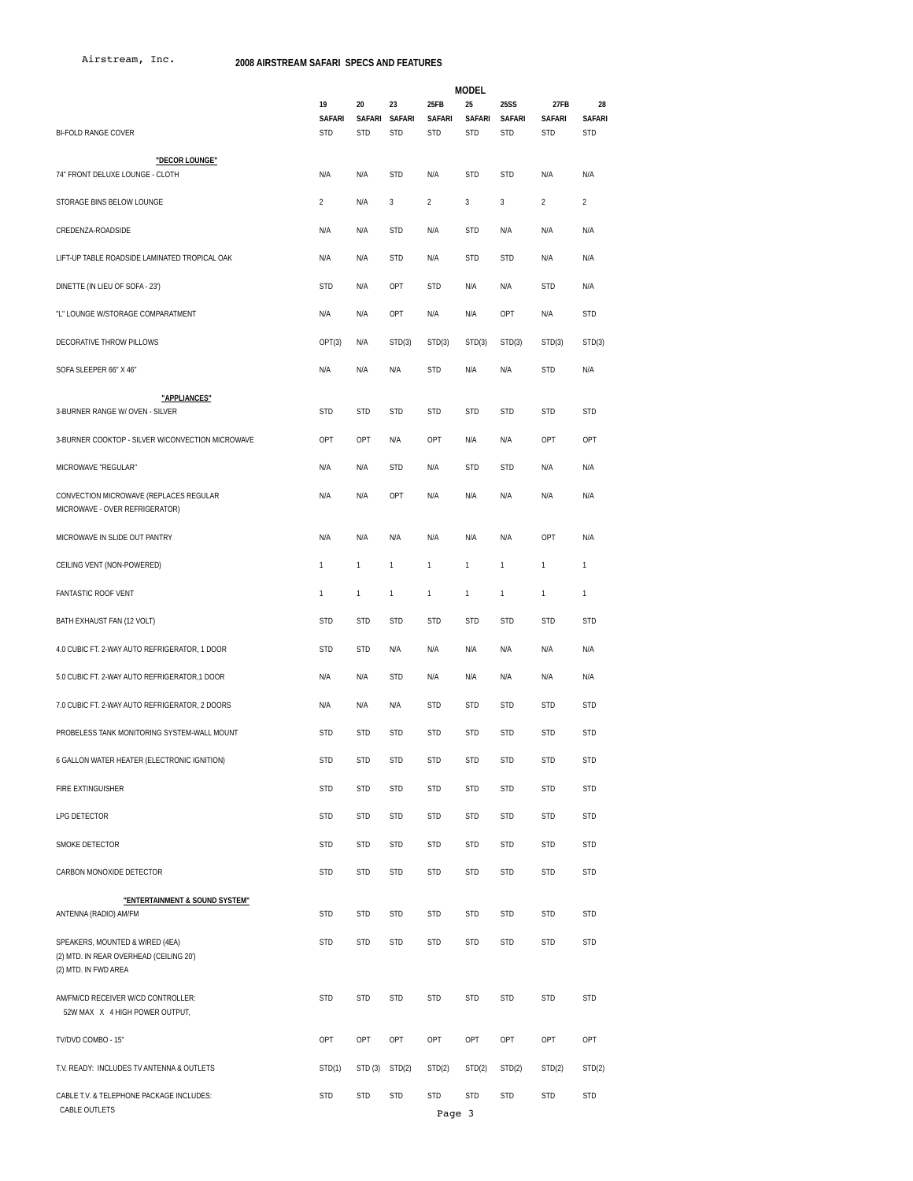Airstream, Inc. **2008 AIRSTREAM SAFARI SPECS AND FEATURES**

|                                                                                                    | <b>MODEL</b>                      |                  |                                   |                                     |                                   |                                            |                                     |                                   |
|----------------------------------------------------------------------------------------------------|-----------------------------------|------------------|-----------------------------------|-------------------------------------|-----------------------------------|--------------------------------------------|-------------------------------------|-----------------------------------|
| <b>BI-FOLD RANGE COVER</b>                                                                         | 19<br><b>SAFARI</b><br><b>STD</b> | 20<br><b>STD</b> | 23<br>SAFARI SAFARI<br><b>STD</b> | 25FB<br><b>SAFARI</b><br><b>STD</b> | 25<br><b>SAFARI</b><br><b>STD</b> | <b>25SS</b><br><b>SAFARI</b><br><b>STD</b> | 27FB<br><b>SAFARI</b><br><b>STD</b> | 28<br><b>SAFARI</b><br><b>STD</b> |
| "DECOR LOUNGE"                                                                                     |                                   |                  |                                   |                                     |                                   |                                            |                                     |                                   |
| 74" FRONT DELUXE LOUNGE - CLOTH                                                                    | N/A                               | N/A              | <b>STD</b>                        | N/A                                 | <b>STD</b>                        | <b>STD</b>                                 | N/A                                 | N/A                               |
| STORAGE BINS BELOW LOUNGE                                                                          | $\overline{2}$                    | N/A              | 3                                 | $\overline{a}$                      | 3                                 | $\sqrt{3}$                                 | $\overline{2}$                      | $\overline{2}$                    |
| CREDENZA-ROADSIDE                                                                                  | N/A                               | N/A              | <b>STD</b>                        | N/A                                 | <b>STD</b>                        | N/A                                        | N/A                                 | N/A                               |
| LIFT-UP TABLE ROADSIDE LAMINATED TROPICAL OAK                                                      | N/A                               | N/A              | <b>STD</b>                        | N/A                                 | <b>STD</b>                        | <b>STD</b>                                 | N/A                                 | N/A                               |
| DINETTE (IN LIEU OF SOFA - 23')                                                                    | <b>STD</b>                        | N/A              | OPT                               | <b>STD</b>                          | N/A                               | N/A                                        | <b>STD</b>                          | N/A                               |
| "L" LOUNGE W/STORAGE COMPARATMENT                                                                  | N/A                               | N/A              | OPT                               | N/A                                 | N/A                               | OPT                                        | N/A                                 | <b>STD</b>                        |
| DECORATIVE THROW PILLOWS                                                                           | OPT(3)                            | N/A              | STD(3)                            | STD(3)                              | STD(3)                            | STD(3)                                     | STD(3)                              | STD(3)                            |
| SOFA SLEEPER 66" X 46"                                                                             | N/A                               | N/A              | N/A                               | <b>STD</b>                          | N/A                               | N/A                                        | <b>STD</b>                          | N/A                               |
| "APPLIANCES"                                                                                       |                                   |                  |                                   |                                     |                                   |                                            |                                     |                                   |
| 3-BURNER RANGE W/ OVEN - SILVER                                                                    | <b>STD</b>                        | <b>STD</b>       | <b>STD</b>                        | <b>STD</b>                          | <b>STD</b>                        | <b>STD</b>                                 | <b>STD</b>                          | <b>STD</b>                        |
| 3-BURNER COOKTOP - SILVER W/CONVECTION MICROWAVE                                                   | OPT                               | OPT              | N/A                               | OPT                                 | N/A                               | N/A                                        | OPT                                 | OPT                               |
| MICROWAVE "REGULAR"                                                                                | N/A                               | N/A              | <b>STD</b>                        | N/A                                 | <b>STD</b>                        | <b>STD</b>                                 | N/A                                 | N/A                               |
| CONVECTION MICROWAVE (REPLACES REGULAR<br>MICROWAVE - OVER REFRIGERATOR)                           | N/A                               | N/A              | OPT                               | N/A                                 | N/A                               | N/A                                        | N/A                                 | N/A                               |
| MICROWAVE IN SLIDE OUT PANTRY                                                                      | N/A                               | N/A              | N/A                               | N/A                                 | N/A                               | N/A                                        | OPT                                 | N/A                               |
| CEILING VENT (NON-POWERED)                                                                         | 1                                 | $\mathbf{1}$     | 1                                 | 1                                   | 1                                 | $\mathbf{1}$                               | 1                                   | 1                                 |
| <b>FANTASTIC ROOF VENT</b>                                                                         | 1                                 | $\mathbf{1}$     | 1                                 | $\mathbf{1}$                        | 1                                 | $\mathbf{1}$                               | $\mathbf{1}$                        | $\mathbf{1}$                      |
| BATH EXHAUST FAN (12 VOLT)                                                                         | <b>STD</b>                        | <b>STD</b>       | <b>STD</b>                        | <b>STD</b>                          | <b>STD</b>                        | <b>STD</b>                                 | <b>STD</b>                          | <b>STD</b>                        |
| 4.0 CUBIC FT. 2-WAY AUTO REFRIGERATOR, 1 DOOR                                                      | <b>STD</b>                        | <b>STD</b>       | N/A                               | N/A                                 | N/A                               | N/A                                        | N/A                                 | N/A                               |
| 5.0 CUBIC FT. 2-WAY AUTO REFRIGERATOR,1 DOOR                                                       | N/A                               | N/A              | <b>STD</b>                        | N/A                                 | N/A                               | N/A                                        | N/A                                 | N/A                               |
| 7.0 CUBIC FT. 2-WAY AUTO REFRIGERATOR, 2 DOORS                                                     | N/A                               | N/A              | N/A                               | <b>STD</b>                          | <b>STD</b>                        | <b>STD</b>                                 | <b>STD</b>                          | <b>STD</b>                        |
| PROBELESS TANK MONITORING SYSTEM-WALL MOUNT                                                        | <b>STD</b>                        | <b>STD</b>       | <b>STD</b>                        | <b>STD</b>                          | <b>STD</b>                        | <b>STD</b>                                 | <b>STD</b>                          | <b>STD</b>                        |
| 6 GALLON WATER HEATER (ELECTRONIC IGNITION)                                                        | <b>STD</b>                        | <b>STD</b>       | <b>STD</b>                        | <b>STD</b>                          | <b>STD</b>                        | <b>STD</b>                                 | <b>STD</b>                          | <b>STD</b>                        |
| FIRE EXTINGUISHER                                                                                  | <b>STD</b>                        | <b>STD</b>       | STD                               | <b>STD</b>                          | <b>STD</b>                        | <b>STD</b>                                 | <b>STD</b>                          | <b>STD</b>                        |
| LPG DETECTOR                                                                                       | <b>STD</b>                        | <b>STD</b>       | STD                               | <b>STD</b>                          | <b>STD</b>                        | <b>STD</b>                                 | <b>STD</b>                          | <b>STD</b>                        |
| SMOKE DETECTOR                                                                                     | <b>STD</b>                        | <b>STD</b>       | <b>STD</b>                        | <b>STD</b>                          | <b>STD</b>                        | <b>STD</b>                                 | <b>STD</b>                          | <b>STD</b>                        |
| CARBON MONOXIDE DETECTOR                                                                           | <b>STD</b>                        | <b>STD</b>       | STD                               | <b>STD</b>                          | <b>STD</b>                        | <b>STD</b>                                 | <b>STD</b>                          | <b>STD</b>                        |
| "ENTERTAINMENT & SOUND SYSTEM"                                                                     |                                   |                  |                                   |                                     |                                   |                                            |                                     |                                   |
| ANTENNA (RADIO) AM/FM                                                                              | <b>STD</b>                        | <b>STD</b>       | <b>STD</b>                        | <b>STD</b>                          | <b>STD</b>                        | <b>STD</b>                                 | <b>STD</b>                          | <b>STD</b>                        |
| SPEAKERS, MOUNTED & WIRED (4EA)<br>(2) MTD. IN REAR OVERHEAD (CEILING 20')<br>(2) MTD. IN FWD AREA | <b>STD</b>                        | <b>STD</b>       | <b>STD</b>                        | <b>STD</b>                          | <b>STD</b>                        | <b>STD</b>                                 | <b>STD</b>                          | <b>STD</b>                        |
| AM/FM/CD RECEIVER W/CD CONTROLLER:<br>52W MAX X 4 HIGH POWER OUTPUT,                               | <b>STD</b>                        | <b>STD</b>       | <b>STD</b>                        | <b>STD</b>                          | <b>STD</b>                        | <b>STD</b>                                 | <b>STD</b>                          | <b>STD</b>                        |
| TV/DVD COMBO - 15"                                                                                 | OPT                               | OPT              | OPT                               | OPT                                 | OPT                               | OPT                                        | OPT                                 | OPT                               |
| T.V. READY: INCLUDES TV ANTENNA & OUTLETS                                                          | STD(1)                            | STD (3)          | STD(2)                            | STD(2)                              | STD(2)                            | STD(2)                                     | STD(2)                              | STD(2)                            |
| CABLE T.V. & TELEPHONE PACKAGE INCLUDES:<br>CABLE OUTLETS                                          | <b>STD</b>                        | <b>STD</b>       | <b>STD</b>                        | <b>STD</b><br>Page 3                | <b>STD</b>                        | <b>STD</b>                                 | <b>STD</b>                          | <b>STD</b>                        |